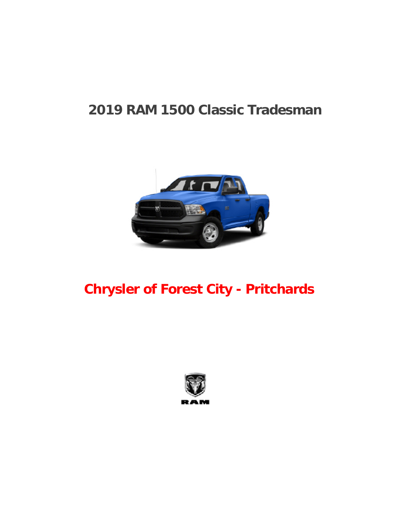# **2019 RAM 1500 Classic Tradesman**



# **Chrysler of Forest City - Pritchards**

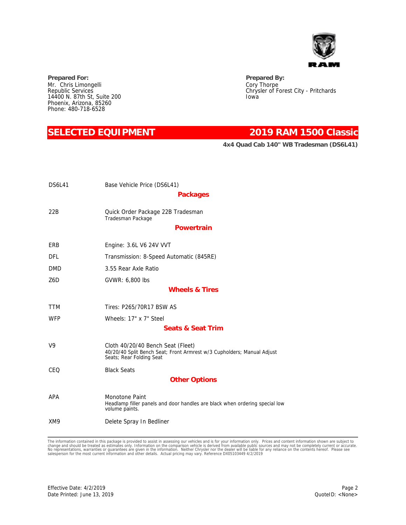

**Prepared For: Prepared By:** Mr. Chris Limongelli Republic Services 14400 N. 87th St, Suite 200 Phoenix, Arizona, 85260 Phone: 480-718-6528

## **SELECTED EQUIPMENT 2019 RAM 1500 Classic**

**4x4 Quad Cab 140" WB Tradesman (DS6L41)**

Chrysler of Forest City - Pritchards

Cory Thorpe

Iowa

| <b>DS6L41</b> | Base Vehicle Price (DS6L41)                                                                                                             |
|---------------|-----------------------------------------------------------------------------------------------------------------------------------------|
|               | Packages                                                                                                                                |
| 22B           | Quick Order Package 22B Tradesman<br>Tradesman Package                                                                                  |
|               | Powertrain                                                                                                                              |
| ERB           | Engine: 3.6L V6 24V VVT                                                                                                                 |
| DFL           | Transmission: 8-Speed Automatic (845RE)                                                                                                 |
| <b>DMD</b>    | 3.55 Rear Axle Ratio                                                                                                                    |
| Z6D           | GVWR: 6,800 lbs                                                                                                                         |
|               | Wheels & Tires                                                                                                                          |
| <b>TTM</b>    | Tires: P265/70R17 BSW AS                                                                                                                |
| <b>WFP</b>    | Wheels: 17" x 7" Steel                                                                                                                  |
|               | Seats & Seat Trim                                                                                                                       |
| V9            | Cloth 40/20/40 Bench Seat (Fleet)<br>40/20/40 Split Bench Seat; Front Armrest w/3 Cupholders; Manual Adjust<br>Seats; Rear Folding Seat |
| CEQ           | <b>Black Seats</b>                                                                                                                      |
|               | <b>Other Options</b>                                                                                                                    |
| APA           | Monotone Paint<br>Headlamp filler panels and door handles are black when ordering special low<br>volume paints.                         |
| XM9           | Delete Spray In Bedliner                                                                                                                |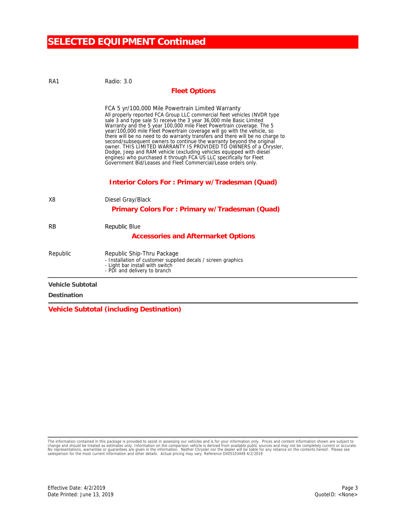## **SELECTED EQUIPMENT Continued**

| RA1              | Radio: 3.0                                                                                                                                                                                                                                                                                                                                                                                                                                                                                                                                                                                                                                                                                                                                                                                                |  |
|------------------|-----------------------------------------------------------------------------------------------------------------------------------------------------------------------------------------------------------------------------------------------------------------------------------------------------------------------------------------------------------------------------------------------------------------------------------------------------------------------------------------------------------------------------------------------------------------------------------------------------------------------------------------------------------------------------------------------------------------------------------------------------------------------------------------------------------|--|
|                  | <b>Fleet Options</b>                                                                                                                                                                                                                                                                                                                                                                                                                                                                                                                                                                                                                                                                                                                                                                                      |  |
|                  | FCA 5 yr/100,000 Mile Powertrain Limited Warranty<br>All properly reported FCA Group LLC commercial fleet vehicles (NVDR type<br>sale 3 and type sale 5) receive the 3 year 36,000 mile Basic Limited<br>Warranty and the 5 year 100,000 mile Fleet Powertrain coverage. The 5<br>year/100,000 mile Fleet Powertrain coverage will go with the vehicle, so<br>there will be no need to do warranty transfers and there will be no charge to<br>second/subsequent owners to continue the warranty beyond the original<br>owner. THIS LIMITED WARRANTY IS PROVIDED TO OWNERS of a Chrysler,<br>Dodge, Jeep and RAM vehicle (excluding vehicles equipped with diesel<br>engines) who purchased it through FCA US LLC specifically for Fleet<br>Government Bid/Leases and Fleet Commercial/Lease orders only. |  |
|                  | Interior Colors For: Primary w/Tradesman (Quad)                                                                                                                                                                                                                                                                                                                                                                                                                                                                                                                                                                                                                                                                                                                                                           |  |
| X <sub>8</sub>   | Diesel Gray/Black                                                                                                                                                                                                                                                                                                                                                                                                                                                                                                                                                                                                                                                                                                                                                                                         |  |
|                  | Primary Colors For: Primary w/Tradesman (Quad)                                                                                                                                                                                                                                                                                                                                                                                                                                                                                                                                                                                                                                                                                                                                                            |  |
| <b>RB</b>        | Republic Blue                                                                                                                                                                                                                                                                                                                                                                                                                                                                                                                                                                                                                                                                                                                                                                                             |  |
|                  | Accessories and Aftermarket Options                                                                                                                                                                                                                                                                                                                                                                                                                                                                                                                                                                                                                                                                                                                                                                       |  |
| Republic         | Republic Ship-Thru Package<br>- Installation of customer supplied decals / screen graphics<br>- Light bar install with switch<br>- PDI and delivery to branch                                                                                                                                                                                                                                                                                                                                                                                                                                                                                                                                                                                                                                             |  |
| Vehicle Subtotal |                                                                                                                                                                                                                                                                                                                                                                                                                                                                                                                                                                                                                                                                                                                                                                                                           |  |
| Destination      |                                                                                                                                                                                                                                                                                                                                                                                                                                                                                                                                                                                                                                                                                                                                                                                                           |  |

**Vehicle Subtotal (including Destination)**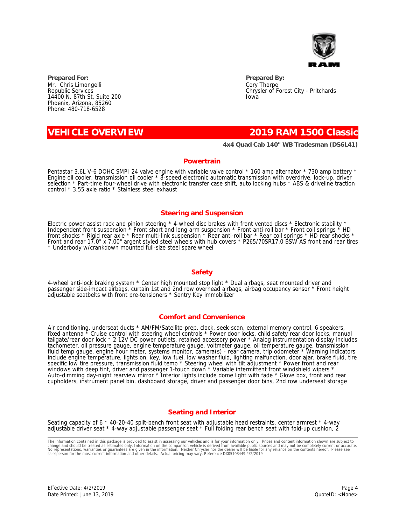

**Prepared For: Prepared By:** Mr. Chris Limongelli Republic Services 14400 N. 87th St, Suite 200 Phoenix, Arizona, 85260 Phone: 480-718-6528

### **VEHICLE OVERVIEW 2019 RAM 1500 Classic**

**4x4 Quad Cab 140" WB Tradesman (DS6L41)**

Chrysler of Forest City - Pritchards

Cory Thorpe

Iowa

#### **Powertrain**

Pentastar 3.6L V-6 DOHC SMPI 24 valve engine with variable valve control \* 160 amp alternator \* 730 amp battery \* Engine oil cooler, transmission oil cooler \* 8-speed electronic automatic transmission with overdrive, lock-up, driver selection \* Part-time four-wheel drive with electronic transfer case shift, auto locking hubs \* ABS & driveline traction control \* 3.55 axle ratio \* Stainless steel exhaust

### **Steering and Suspension**

Electric power-assist rack and pinion steering \* 4-wheel disc brakes with front vented discs \* Electronic stability \* Independent front suspension \* Front short and long arm suspension \* Front anti-roll bar \* Front coil springs \* HD front shocks \* Rigid rear axle \* Rear multi-link suspension \* Rear anti-roll bar \* Rear coil springs \* HD rear shocks \* Front and rear 17.0" x 7.00" argent styled steel wheels with hub covers \* P265/70SR17.0 BSW AS front and rear tires \* Underbody w/crankdown mounted full-size steel spare wheel

### **Safety**

4-wheel anti-lock braking system \* Center high mounted stop light \* Dual airbags, seat mounted driver and passenger side-impact airbags, curtain 1st and 2nd row overhead airbags, airbag occupancy sensor \* Front height adjustable seatbelts with front pre-tensioners \* Sentry Key immobilizer

#### **Comfort and Convenience**

Air conditioning, underseat ducts \* AM/FM/Satellite-prep, clock, seek-scan, external memory control, 6 speakers, fixed antenna \* Cruise control with steering wheel controls \* Power door locks, child safety rear door locks, manual tailgate/rear door lock \* 2 12V DC power outlets, retained accessory power \* Analog instrumentation display includes tachometer, oil pressure gauge, engine temperature gauge, voltmeter gauge, oil temperature gauge, transmission fluid temp gauge, engine hour meter, systems monitor, camera(s) - rear camera, trip odometer \* Warning indicators include engine temperature, lights on, key, low fuel, low washer fluid, lighting malfunction, door ajar, brake fluid, tire specific low tire pressure, transmission fluid temp \* Steering wheel with tilt adjustment \* Power front and rear windows with deep tint, driver and passenger 1-touch down \* Variable intermittent front windshield wipers \* Auto-dimming day-night rearview mirror \* Interior lights include dome light with fade \* Glove box, front and rear cupholders, instrument panel bin, dashboard storage, driver and passenger door bins, 2nd row underseat storage

### **Seating and Interior**

Seating capacity of 6 \* 40-20-40 split-bench front seat with adjustable head restraints, center armrest \* 4-way adjustable driver seat \* 4-way adjustable passenger seat \* Full folding rear bench seat with fold-up cushion, 2

The information contained in this package is provided to assist in assessing our vehicles and is for your information only. Prices and content information shown are subject to<br>change and should be treated as estimates only

Page 4 QuoteID: <None>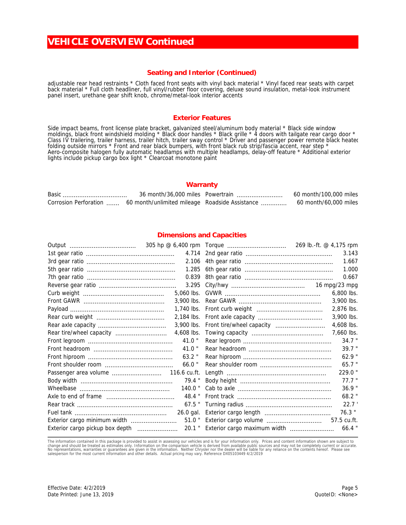## **VEHICLE OVERVIEW Continued**

### **Seating and Interior (Continued)**

adjustable rear head restraints \* Cloth faced front seats with vinyl back material \* Vinyl faced rear seats with carpet back material \* Full cloth headliner, full vinyl/rubber floor covering, deluxe sound insulation, metal-look instrument panel insert, urethane gear shift knob, chrome/metal-look interior accents

#### **Exterior Features**

Side impact beams, front license plate bracket, galvanized steel/aluminum body material \* Black side window moldings, black front windshield molding \* Black door handles \* Black grille \* 4 doors with tailgate rear cargo door \* Class IV trailering, trailer harness, trailer hitch, trailer sway control \* Driver and passenger power remote black heatec folding outside mirrors \* Front and rear black bumpers, with front black rub strip/fascia accent, rear step \* Aero-composite halogen fully automatic headlamps with multiple headlamps, delay-off feature \* Additional exterior lights include pickup cargo box light \* Clearcoat monotone paint

#### **Warranty**

|  | 36 month/36,000 miles Powertrain                                      | 60 month/100,000 miles |
|--|-----------------------------------------------------------------------|------------------------|
|  | Corrosion Perforation  60 month/unlimited mileage Roadside Assistance | 60 month/60,000 miles  |

#### **Dimensions and Capacities**

|                                 |              |                                     | 269 lb.-ft. @ 4,175 rpm |
|---------------------------------|--------------|-------------------------------------|-------------------------|
|                                 | 4.714        |                                     | 3.143                   |
|                                 |              |                                     | 1.667                   |
|                                 | 1.285        |                                     | 1.000                   |
|                                 | 0.839        |                                     | 0.667                   |
|                                 | 3.295        |                                     | 16 mpg/23 mpg           |
|                                 | 5,060 lbs.   |                                     | 6,800 lbs.              |
|                                 | 3,900 lbs.   |                                     | 3,900 lbs.              |
|                                 | 1,740 lbs.   |                                     | 2,876 lbs.              |
|                                 | 2,184 lbs.   |                                     | 3,900 lbs.              |
|                                 | 3,900 lbs.   | Front tire/wheel capacity           | 4,608 lbs.              |
| Rear tire/wheel capacity        | 4,608 lbs.   |                                     | 7,660 lbs.              |
|                                 | $41.0$ "     |                                     | $34.7$ "                |
|                                 | $41.0$ "     |                                     | 39.7 "                  |
|                                 | $63.2$ "     |                                     | $62.9$ "                |
|                                 | $66.0$ "     |                                     | $65.7$ "                |
| Passenger area volume           | 116.6 cu.ft. |                                     | 229.0"                  |
|                                 | $79.4$ "     |                                     | $77.7$ "                |
|                                 | $140.0$ "    |                                     | $36.9$ "                |
|                                 | 48.4 "       |                                     | 68.2 "                  |
|                                 | $67.5$ "     |                                     | 22.7'                   |
|                                 | 26.0 gal.    |                                     | $76.3$ "                |
| Exterior cargo minimum width    | $51.0$ "     | Exterior cargo volume               | 57.5 cu.ft.             |
| Exterior cargo pickup box depth |              | 20.1 " Exterior cargo maximum width | 66.4                    |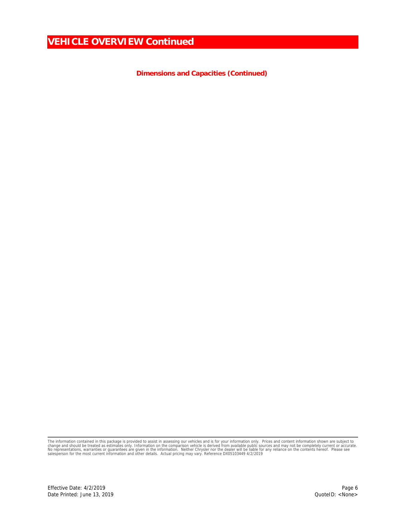**VEHICLE OVERVIEW Continued**

**Dimensions and Capacities (Continued)**